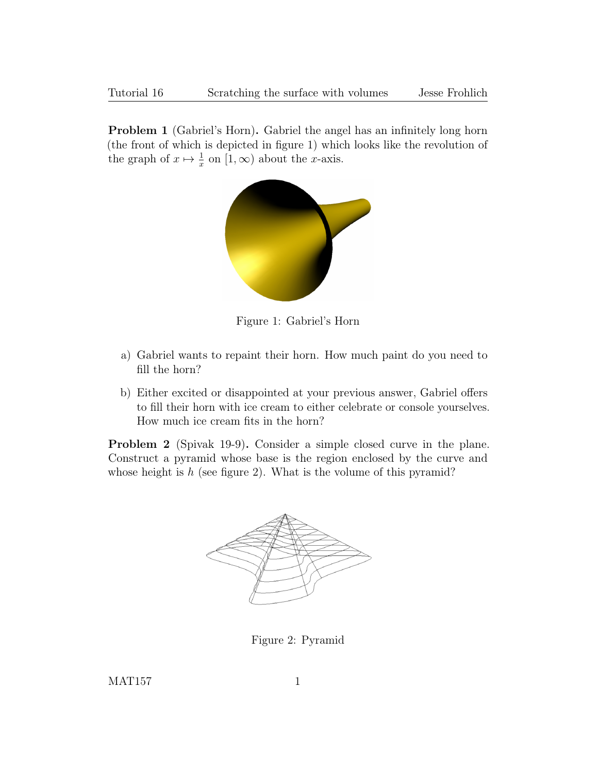Problem 1 (Gabriel's Horn). Gabriel the angel has an infinitely long horn (the front of which is depicted in figure 1) which looks like the revolution of the graph of  $x \mapsto \frac{1}{x}$  on  $[1, \infty)$  about the x-axis.



Figure 1: Gabriel's Horn

- a) Gabriel wants to repaint their horn. How much paint do you need to fill the horn?
- b) Either excited or disappointed at your previous answer, Gabriel offers to fill their horn with ice cream to either celebrate or console yourselves. How much ice cream fits in the horn?

Problem 2 (Spivak 19-9). Consider a simple closed curve in the plane. Construct a pyramid whose base is the region enclosed by the curve and whose height is  $h$  (see figure 2). What is the volume of this pyramid?



Figure 2: Pyramid

MAT157 1